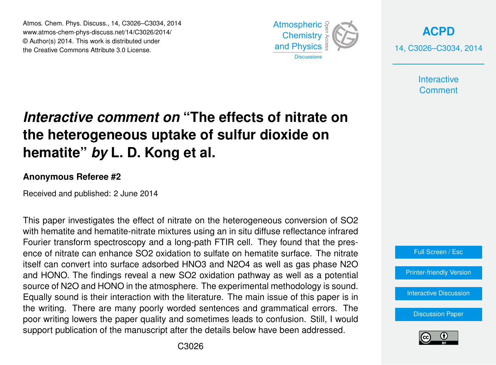Atmos. Chem. Phys. Discuss., 14, C3026–C3034, 2014 www.atmos-chem-phys-discuss.net/14/C3026/2014/ © Author(s) 2014. This work is distributed under the Creative Commons Attribute 3.0 License.



**[ACPD](http://www.atmos-chem-phys-discuss.net)** 14, C3026–C3034, 2014

> **Interactive Comment**

# *Interactive comment on* **"The effects of nitrate on the heterogeneous uptake of sulfur dioxide on hematite"** *by* **L. D. Kong et al.**

#### **Anonymous Referee #2**

Received and published: 2 June 2014

This paper investigates the effect of nitrate on the heterogeneous conversion of SO2 with hematite and hematite-nitrate mixtures using an in situ diffuse reflectance infrared Fourier transform spectroscopy and a long-path FTIR cell. They found that the presence of nitrate can enhance SO2 oxidation to sulfate on hematite surface. The nitrate itself can convert into surface adsorbed HNO3 and N2O4 as well as gas phase N2O and HONO. The findings reveal a new SO2 oxidation pathway as well as a potential source of N2O and HONO in the atmosphere. The experimental methodology is sound. Equally sound is their interaction with the literature. The main issue of this paper is in the writing. There are many poorly worded sentences and grammatical errors. The poor writing lowers the paper quality and sometimes leads to confusion. Still, I would support publication of the manuscript after the details below have been addressed.



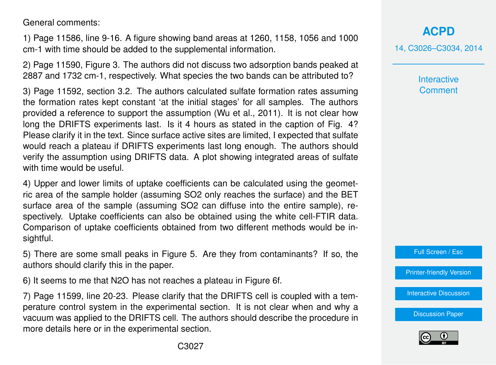General comments:

1) Page 11586, line 9-16. A figure showing band areas at 1260, 1158, 1056 and 1000 cm-1 with time should be added to the supplemental information.

2) Page 11590, Figure 3. The authors did not discuss two adsorption bands peaked at 2887 and 1732 cm-1, respectively. What species the two bands can be attributed to?

3) Page 11592, section 3.2. The authors calculated sulfate formation rates assuming the formation rates kept constant 'at the initial stages' for all samples. The authors provided a reference to support the assumption (Wu et al., 2011). It is not clear how long the DRIFTS experiments last. Is it 4 hours as stated in the caption of Fig. 4? Please clarify it in the text. Since surface active sites are limited, I expected that sulfate would reach a plateau if DRIFTS experiments last long enough. The authors should verify the assumption using DRIFTS data. A plot showing integrated areas of sulfate with time would be useful.

4) Upper and lower limits of uptake coefficients can be calculated using the geometric area of the sample holder (assuming SO2 only reaches the surface) and the BET surface area of the sample (assuming SO2 can diffuse into the entire sample), respectively. Uptake coefficients can also be obtained using the white cell-FTIR data. Comparison of uptake coefficients obtained from two different methods would be insightful.

5) There are some small peaks in Figure 5. Are they from contaminants? If so, the authors should clarify this in the paper.

6) It seems to me that N2O has not reaches a plateau in Figure 6f.

7) Page 11599, line 20-23. Please clarify that the DRIFTS cell is coupled with a temperature control system in the experimental section. It is not clear when and why a vacuum was applied to the DRIFTS cell. The authors should describe the procedure in more details here or in the experimental section.

**[ACPD](http://www.atmos-chem-phys-discuss.net)** 14, C3026–C3034, 2014

> **Interactive Comment**

Full Screen / Esc

[Printer-friendly Version](http://www.atmos-chem-phys-discuss.net/14/C3026/2014/acpd-14-C3026-2014-print.pdf)

[Interactive Discussion](http://www.atmos-chem-phys-discuss.net/14/11577/2014/acpd-14-11577-2014-discussion.html)

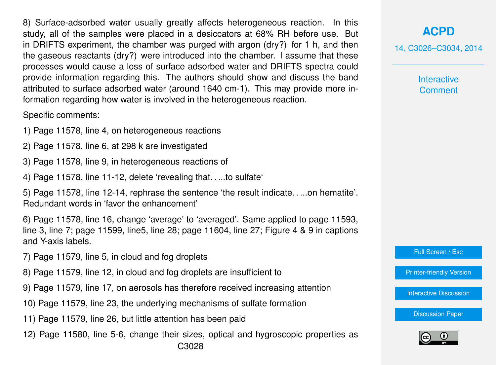8) Surface-adsorbed water usually greatly affects heterogeneous reaction. In this study, all of the samples were placed in a desiccators at 68% RH before use. But in DRIFTS experiment, the chamber was purged with argon (dry?) for 1 h, and then the gaseous reactants (dry?) were introduced into the chamber. I assume that these processes would cause a loss of surface adsorbed water and DRIFTS spectra could provide information regarding this. The authors should show and discuss the band attributed to surface adsorbed water (around 1640 cm-1). This may provide more information regarding how water is involved in the heterogeneous reaction.

Specific comments:

- 1) Page 11578, line 4, on heterogeneous reactions
- 2) Page 11578, line 6, at 298 k are investigated
- 3) Page 11578, line 9, in heterogeneous reactions of
- 4) Page 11578, line 11-12, delete 'revealing that. . ...to sulfate'

5) Page 11578, line 12-14, rephrase the sentence 'the result indicate. . ...on hematite'. Redundant words in 'favor the enhancement'

6) Page 11578, line 16, change 'average' to 'averaged'. Same applied to page 11593, line 3, line 7; page 11599, line5, line 28; page 11604, line 27; Figure 4 & 9 in captions and Y-axis labels.

- 7) Page 11579, line 5, in cloud and fog droplets
- 8) Page 11579, line 12, in cloud and fog droplets are insufficient to
- 9) Page 11579, line 17, on aerosols has therefore received increasing attention
- 10) Page 11579, line 23, the underlying mechanisms of sulfate formation
- 11) Page 11579, line 26, but little attention has been paid
- 12) Page 11580, line 5-6, change their sizes, optical and hygroscopic properties as

### **[ACPD](http://www.atmos-chem-phys-discuss.net)**

14, C3026–C3034, 2014

**Interactive Comment** 

Full Screen / Esc

[Printer-friendly Version](http://www.atmos-chem-phys-discuss.net/14/C3026/2014/acpd-14-C3026-2014-print.pdf)

[Interactive Discussion](http://www.atmos-chem-phys-discuss.net/14/11577/2014/acpd-14-11577-2014-discussion.html)

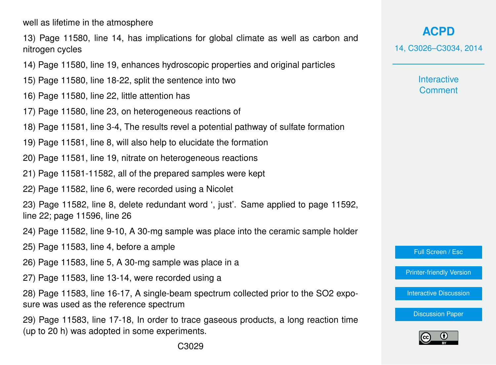well as lifetime in the atmosphere

13) Page 11580, line 14, has implications for global climate as well as carbon and nitrogen cycles

- 14) Page 11580, line 19, enhances hydroscopic properties and original particles
- 15) Page 11580, line 18-22, split the sentence into two
- 16) Page 11580, line 22, little attention has
- 17) Page 11580, line 23, on heterogeneous reactions of
- 18) Page 11581, line 3-4, The results revel a potential pathway of sulfate formation
- 19) Page 11581, line 8, will also help to elucidate the formation
- 20) Page 11581, line 19, nitrate on heterogeneous reactions
- 21) Page 11581-11582, all of the prepared samples were kept
- 22) Page 11582, line 6, were recorded using a Nicolet

23) Page 11582, line 8, delete redundant word ', just'. Same applied to page 11592, line 22; page 11596, line 26

- 24) Page 11582, line 9-10, A 30-mg sample was place into the ceramic sample holder
- 25) Page 11583, line 4, before a ample
- 26) Page 11583, line 5, A 30-mg sample was place in a
- 27) Page 11583, line 13-14, were recorded using a

28) Page 11583, line 16-17, A single-beam spectrum collected prior to the SO2 exposure was used as the reference spectrum

29) Page 11583, line 17-18, In order to trace gaseous products, a long reaction time (up to 20 h) was adopted in some experiments.

**[ACPD](http://www.atmos-chem-phys-discuss.net)**

14, C3026–C3034, 2014

**Interactive Comment** 

Full Screen / Esc

[Printer-friendly Version](http://www.atmos-chem-phys-discuss.net/14/C3026/2014/acpd-14-C3026-2014-print.pdf)

[Interactive Discussion](http://www.atmos-chem-phys-discuss.net/14/11577/2014/acpd-14-11577-2014-discussion.html)

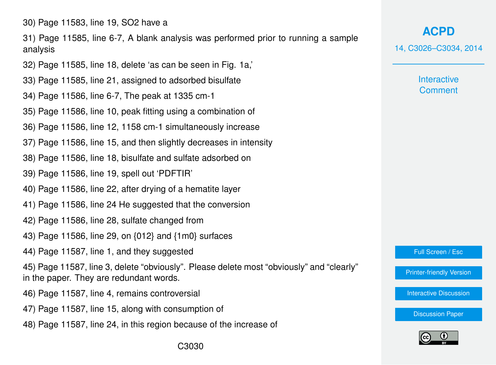30) Page 11583, line 19, SO2 have a

31) Page 11585, line 6-7, A blank analysis was performed prior to running a sample analysis

- 32) Page 11585, line 18, delete 'as can be seen in Fig. 1a,'
- 33) Page 11585, line 21, assigned to adsorbed bisulfate
- 34) Page 11586, line 6-7, The peak at 1335 cm-1
- 35) Page 11586, line 10, peak fitting using a combination of
- 36) Page 11586, line 12, 1158 cm-1 simultaneously increase
- 37) Page 11586, line 15, and then slightly decreases in intensity
- 38) Page 11586, line 18, bisulfate and sulfate adsorbed on
- 39) Page 11586, line 19, spell out 'PDFTIR'
- 40) Page 11586, line 22, after drying of a hematite layer
- 41) Page 11586, line 24 He suggested that the conversion
- 42) Page 11586, line 28, sulfate changed from
- 43) Page 11586, line 29, on {012} and {1m0} surfaces
- 44) Page 11587, line 1, and they suggested

45) Page 11587, line 3, delete "obviously". Please delete most "obviously" and "clearly" in the paper. They are redundant words.

- 46) Page 11587, line 4, remains controversial
- 47) Page 11587, line 15, along with consumption of
- 48) Page 11587, line 24, in this region because of the increase of

## **[ACPD](http://www.atmos-chem-phys-discuss.net)**

14, C3026–C3034, 2014

**Interactive Comment** 

Full Screen / Esc

[Printer-friendly Version](http://www.atmos-chem-phys-discuss.net/14/C3026/2014/acpd-14-C3026-2014-print.pdf)

[Interactive Discussion](http://www.atmos-chem-phys-discuss.net/14/11577/2014/acpd-14-11577-2014-discussion.html)

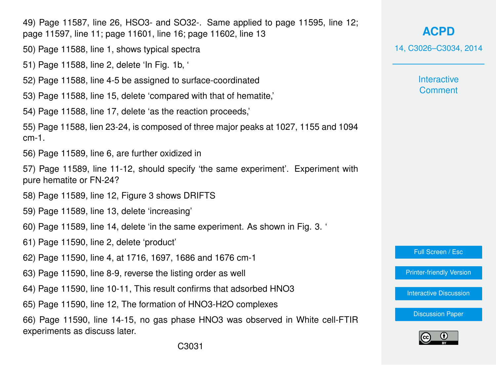49) Page 11587, line 26, HSO3- and SO32-. Same applied to page 11595, line 12; page 11597, line 11; page 11601, line 16; page 11602, line 13

- 50) Page 11588, line 1, shows typical spectra
- 51) Page 11588, line 2, delete 'In Fig. 1b, '
- 52) Page 11588, line 4-5 be assigned to surface-coordinated
- 53) Page 11588, line 15, delete 'compared with that of hematite,'
- 54) Page 11588, line 17, delete 'as the reaction proceeds,'

55) Page 11588, lien 23-24, is composed of three major peaks at 1027, 1155 and 1094 cm-1.

56) Page 11589, line 6, are further oxidized in

57) Page 11589, line 11-12, should specify 'the same experiment'. Experiment with pure hematite or FN-24?

- 58) Page 11589, line 12, Figure 3 shows DRIFTS
- 59) Page 11589, line 13, delete 'increasing'
- 60) Page 11589, line 14, delete 'in the same experiment. As shown in Fig. 3. '
- 61) Page 11590, line 2, delete 'product'
- 62) Page 11590, line 4, at 1716, 1697, 1686 and 1676 cm-1
- 63) Page 11590, line 8-9, reverse the listing order as well
- 64) Page 11590, line 10-11, This result confirms that adsorbed HNO3
- 65) Page 11590, line 12, The formation of HNO3-H2O complexes

66) Page 11590, line 14-15, no gas phase HNO3 was observed in White cell-FTIR experiments as discuss later.

**[ACPD](http://www.atmos-chem-phys-discuss.net)**

14, C3026–C3034, 2014

**Interactive Comment** 

Full Screen / Esc

[Printer-friendly Version](http://www.atmos-chem-phys-discuss.net/14/C3026/2014/acpd-14-C3026-2014-print.pdf)

[Interactive Discussion](http://www.atmos-chem-phys-discuss.net/14/11577/2014/acpd-14-11577-2014-discussion.html)

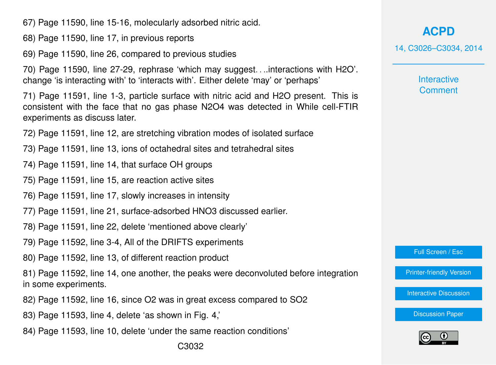67) Page 11590, line 15-16, molecularly adsorbed nitric acid.

68) Page 11590, line 17, in previous reports

69) Page 11590, line 26, compared to previous studies

70) Page 11590, line 27-29, rephrase 'which may suggest. . ..interactions with H2O'. change 'is interacting with' to 'interacts with'. Either delete 'may' or 'perhaps'

71) Page 11591, line 1-3, particle surface with nitric acid and H2O present. This is consistent with the face that no gas phase N2O4 was detected in While cell-FTIR experiments as discuss later.

- 72) Page 11591, line 12, are stretching vibration modes of isolated surface
- 73) Page 11591, line 13, ions of octahedral sites and tetrahedral sites
- 74) Page 11591, line 14, that surface OH groups
- 75) Page 11591, line 15, are reaction active sites
- 76) Page 11591, line 17, slowly increases in intensity
- 77) Page 11591, line 21, surface-adsorbed HNO3 discussed earlier.
- 78) Page 11591, line 22, delete 'mentioned above clearly'
- 79) Page 11592, line 3-4, All of the DRIFTS experiments
- 80) Page 11592, line 13, of different reaction product

81) Page 11592, line 14, one another, the peaks were deconvoluted before integration in some experiments.

- 82) Page 11592, line 16, since O2 was in great excess compared to SO2
- 83) Page 11593, line 4, delete 'as shown in Fig. 4,'
- 84) Page 11593, line 10, delete 'under the same reaction conditions'

## **[ACPD](http://www.atmos-chem-phys-discuss.net)**

14, C3026–C3034, 2014

**Interactive Comment** 

Full Screen / Esc

[Printer-friendly Version](http://www.atmos-chem-phys-discuss.net/14/C3026/2014/acpd-14-C3026-2014-print.pdf)

[Interactive Discussion](http://www.atmos-chem-phys-discuss.net/14/11577/2014/acpd-14-11577-2014-discussion.html)

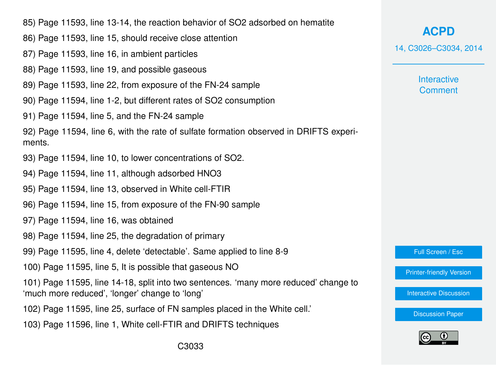85) Page 11593, line 13-14, the reaction behavior of SO2 adsorbed on hematite

- 86) Page 11593, line 15, should receive close attention
- 87) Page 11593, line 16, in ambient particles
- 88) Page 11593, line 19, and possible gaseous
- 89) Page 11593, line 22, from exposure of the FN-24 sample
- 90) Page 11594, line 1-2, but different rates of SO2 consumption
- 91) Page 11594, line 5, and the FN-24 sample

92) Page 11594, line 6, with the rate of sulfate formation observed in DRIFTS experiments.

- 93) Page 11594, line 10, to lower concentrations of SO2.
- 94) Page 11594, line 11, although adsorbed HNO3
- 95) Page 11594, line 13, observed in White cell-FTIR
- 96) Page 11594, line 15, from exposure of the FN-90 sample
- 97) Page 11594, line 16, was obtained
- 98) Page 11594, line 25, the degradation of primary
- 99) Page 11595, line 4, delete 'detectable'. Same applied to line 8-9
- 100) Page 11595, line 5, It is possible that gaseous NO

101) Page 11595, line 14-18, split into two sentences. 'many more reduced' change to 'much more reduced', 'longer' change to 'long'

- 102) Page 11595, line 25, surface of FN samples placed in the White cell.'
- 103) Page 11596, line 1, White cell-FTIR and DRIFTS techniques

**[ACPD](http://www.atmos-chem-phys-discuss.net)**

14, C3026–C3034, 2014

**Interactive Comment** 

Full Screen / Esc

[Printer-friendly Version](http://www.atmos-chem-phys-discuss.net/14/C3026/2014/acpd-14-C3026-2014-print.pdf)

[Interactive Discussion](http://www.atmos-chem-phys-discuss.net/14/11577/2014/acpd-14-11577-2014-discussion.html)